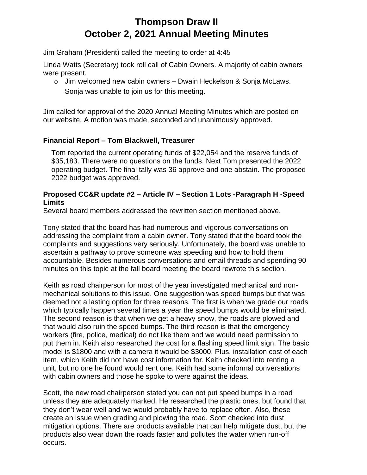# **Thompson Draw II October 2, 2021 Annual Meeting Minutes**

Jim Graham (President) called the meeting to order at 4:45

Linda Watts (Secretary) took roll call of Cabin Owners. A majority of cabin owners were present.

 $\circ$  Jim welcomed new cabin owners – Dwain Heckelson & Sonja McLaws. Sonja was unable to join us for this meeting.

Jim called for approval of the 2020 Annual Meeting Minutes which are posted on our website. A motion was made, seconded and unanimously approved.

# **Financial Report – Tom Blackwell, Treasurer**

Tom reported the current operating funds of \$22,054 and the reserve funds of \$35,183. There were no questions on the funds. Next Tom presented the 2022 operating budget. The final tally was 36 approve and one abstain. The proposed 2022 budget was approved.

#### **Proposed CC&R update #2 – Article IV – Section 1 Lots -Paragraph H -Speed Limits**

Several board members addressed the rewritten section mentioned above.

Tony stated that the board has had numerous and vigorous conversations on addressing the complaint from a cabin owner. Tony stated that the board took the complaints and suggestions very seriously. Unfortunately, the board was unable to ascertain a pathway to prove someone was speeding and how to hold them accountable. Besides numerous conversations and email threads and spending 90 minutes on this topic at the fall board meeting the board rewrote this section.

Keith as road chairperson for most of the year investigated mechanical and nonmechanical solutions to this issue. One suggestion was speed bumps but that was deemed not a lasting option for three reasons. The first is when we grade our roads which typically happen several times a year the speed bumps would be eliminated. The second reason is that when we get a heavy snow, the roads are plowed and that would also ruin the speed bumps. The third reason is that the emergency workers (fire, police, medical) do not like them and we would need permission to put them in. Keith also researched the cost for a flashing speed limit sign. The basic model is \$1800 and with a camera it would be \$3000. Plus, installation cost of each item, which Keith did not have cost information for. Keith checked into renting a unit, but no one he found would rent one. Keith had some informal conversations with cabin owners and those he spoke to were against the ideas.

Scott, the new road chairperson stated you can not put speed bumps in a road unless they are adequately marked. He researched the plastic ones, but found that they don't wear well and we would probably have to replace often. Also, these create an issue when grading and plowing the road. Scott checked into dust mitigation options. There are products available that can help mitigate dust, but the products also wear down the roads faster and pollutes the water when run-off occurs.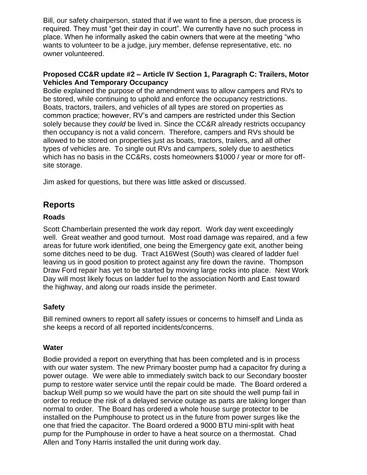Bill, our safety chairperson, stated that if we want to fine a person, due process is required. They must "get their day in court". We currently have no such process in place. When he informally asked the cabin owners that were at the meeting "who wants to volunteer to be a judge, jury member, defense representative, etc. no owner volunteered.

#### **Proposed CC&R update #2 – Article IV Section 1, Paragraph C: Trailers, Motor Vehicles And Temporary Occupancy**

Bodie explained the purpose of the amendment was to allow campers and RVs to be stored, while continuing to uphold and enforce the occupancy restrictions. Boats, tractors, trailers, and vehicles of all types are stored on properties as common practice; however, RV's and campers are restricted under this Section solely because they *could* be lived in. Since the CC&R already restricts occupancy then occupancy is not a valid concern. Therefore, campers and RVs should be allowed to be stored on properties just as boats, tractors, trailers, and all other types of vehicles are. To single out RVs and campers, solely due to aesthetics which has no basis in the CC&Rs, costs homeowners \$1000 / year or more for offsite storage.

Jim asked for questions, but there was little asked or discussed.

# **Reports**

# **Roads**

Scott Chamberlain presented the work day report. Work day went exceedingly well. Great weather and good turnout. Most road damage was repaired, and a few areas for future work identified, one being the Emergency gate exit, another being some ditches need to be dug. Tract A16West (South) was cleared of ladder fuel leaving us in good position to protect against any fire down the ravine. Thompson Draw Ford repair has yet to be started by moving large rocks into place. Next Work Day will most likely focus on ladder fuel to the association North and East toward the highway, and along our roads inside the perimeter.

# **Safety**

Bill remined owners to report all safety issues or concerns to himself and Linda as she keeps a record of all reported incidents/concerns.

# **Water**

Bodie provided a report on everything that has been completed and is in process with our water system. The new Primary booster pump had a capacitor fry during a power outage. We were able to immediately switch back to our Secondary booster pump to restore water service until the repair could be made. The Board ordered a backup Well pump so we would have the part on site should the well pump fail in order to reduce the risk of a delayed service outage as parts are taking longer than normal to order. The Board has ordered a whole house surge protector to be installed on the Pumphouse to protect us in the future from power surges like the one that fried the capacitor. The Board ordered a 9000 BTU mini-split with heat pump for the Pumphouse in order to have a heat source on a thermostat. Chad Allen and Tony Harris installed the unit during work day.